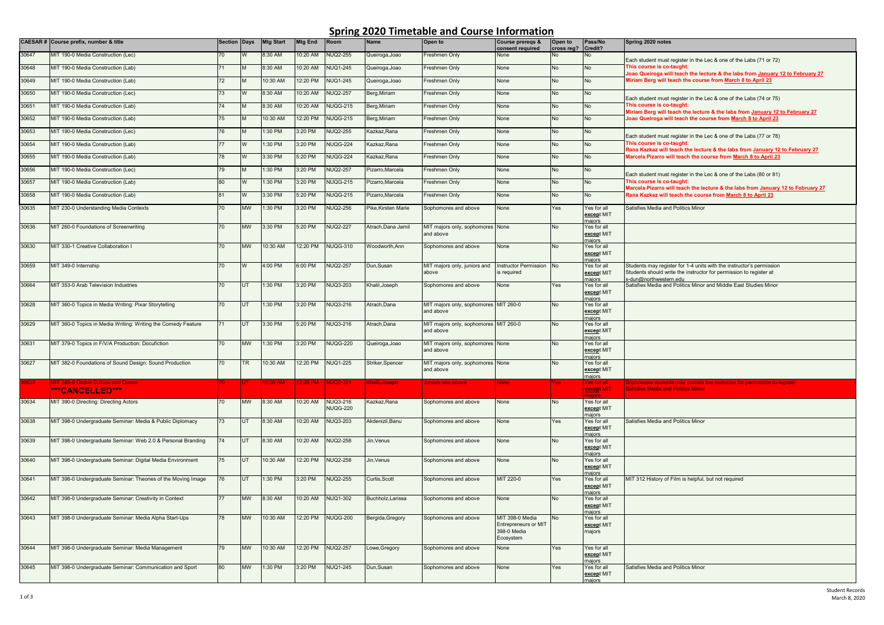## **Spring 2020 Timetable and Course Information**

|       | CAESAR # Course prefix, number & title                        | <b>Section Days</b> |           | <b>Mtg Start</b> | <b>Mtg End</b> | Room            | Name                | Open to                                            | Course prereqs &<br>consent required                                       | Open to<br>cross reg? | Pass/No<br>Credit?                  | Spring 2020 notes                                                                                                                                                                                                                                 |
|-------|---------------------------------------------------------------|---------------------|-----------|------------------|----------------|-----------------|---------------------|----------------------------------------------------|----------------------------------------------------------------------------|-----------------------|-------------------------------------|---------------------------------------------------------------------------------------------------------------------------------------------------------------------------------------------------------------------------------------------------|
| 30647 | MIT 190-0 Media Construction (Lec)                            | 70                  |           | 8:30 AM          | 10:20 AM       | <b>NUQ2-255</b> | Queiroga, Joao      | Freshmen Only                                      | Vone                                                                       |                       | ٩o                                  | Each student must register in the Lec & one of the Labs (71 or 72)<br>This course is co-taught<br>oao Queiroga will teach the lecture & the labs from January 12 to February 27<br>Miriam Berg will teach the course from March 8 to April 23     |
| 30648 | MIT 190-0 Media Construction (Lab)                            | $\overline{71}$     |           | 8:30 AM          | 10:20 AM       | <b>NUQ1-245</b> | Queiroga, Joao      | Freshmen Only                                      | None                                                                       | No                    | No                                  |                                                                                                                                                                                                                                                   |
| 30649 | MIT 190-0 Media Construction (Lab)                            | 72                  | M         | 10:30 AM         | 12:20 PM       | <b>NUQ1-245</b> | Queiroga, Joao      | Freshmen Only                                      | None                                                                       | No                    | No                                  |                                                                                                                                                                                                                                                   |
| 30650 | MIT 190-0 Media Construction (Lec)                            | 73                  |           | 8:30 AM          | 10:20 AM       | <b>NUQ2-257</b> | Berg, Miriam        | Freshmen Only                                      | None                                                                       | No                    | No                                  | Each student must register in the Lec & one of the Labs (74 or 75)                                                                                                                                                                                |
| 30651 | MIT 190-0 Media Construction (Lab)                            | 74                  | M         | 8:30 AM          | 10:20 AM       | <b>NUQG-215</b> | Berg, Miriam        | Freshmen Only                                      | None                                                                       | <b>No</b>             | <b>No</b>                           | This course is co-taught:<br>Airiam Berg will teach the lecture & the labs from January 12 to February 27                                                                                                                                         |
| 30652 | MIT 190-0 Media Construction (Lab)                            | 75                  | M         | 10:30 AM         | 12:20 PM       | <b>NUQG-215</b> | Berg, Miriam        | Freshmen Only                                      | None                                                                       | No.                   | No                                  | loao Queiroga will teach the course from March 8 to April 23                                                                                                                                                                                      |
| 30653 | MIT 190-0 Media Construction (Lec)                            | 76                  | M         | 1:30 PM          | 3:20 PM        | <b>NUQ2-255</b> | Kazkaz, Rana        | Freshmen Only                                      | None                                                                       | No                    | <b>No</b>                           | Each student must register in the Lec & one of the Labs (77 or 78)<br>This course is co-taught:<br>Rana Kazkaz will teach the lecture & the labs from January 12 to February 27<br>Marcela Pizarro will teach the course from March 8 to April 23 |
| 30654 | MIT 190-0 Media Construction (Lab)                            |                     |           | 1:30 PM          | 3:20 PM        | <b>NUQG-224</b> | Kazkaz, Rana        | Freshmen Only                                      | None                                                                       | No                    | <b>No</b>                           |                                                                                                                                                                                                                                                   |
| 30655 | MIT 190-0 Media Construction (Lab)                            | 78                  | W         | 3:30 PM          | 5:20 PM        | <b>NUQG-224</b> | Kazkaz, Rana        | Freshmen Only                                      | None                                                                       | No                    | No                                  |                                                                                                                                                                                                                                                   |
| 30656 | MIT 190-0 Media Construction (Lec)                            | 79                  | M         | 1:30 PM          | 3:20 PM        | <b>NUQ2-257</b> | Pizarro, Marcela    | Freshmen Only                                      | None                                                                       | No                    | No                                  | Each student must register in the Lec & one of the Labs (80 or 81)                                                                                                                                                                                |
| 30657 | MIT 190-0 Media Construction (Lab)                            | 80                  | W         | 1:30 PM          | 3:20 PM        | <b>NUQG-215</b> | Pizarro, Marcela    | Freshmen Only                                      | None                                                                       | <b>No</b>             | <b>No</b>                           | This course is co-taught:<br>Marcela Pizarro will teach the lecture & the labs from January 12 to February 27                                                                                                                                     |
| 30658 | MIT 190-0 Media Construction (Lab)                            | 81                  | W         | 3:30 PM          | 5:20 PM        | <b>NUQG-215</b> | Pizarro, Marcela    | Freshmen Only                                      | None                                                                       | No                    | No                                  | Rana Kazkaz will teach the course from March 8 to April 23                                                                                                                                                                                        |
| 30635 | MIT 230-0 Understanding Media Contexts                        | 70                  | <b>MW</b> | 1:30 PM          | 3:20 PM        | <b>NUQ2-256</b> | Pike, Kirsten Marie | Sophomores and above                               | None                                                                       | Yes                   | Yes for all<br>except MIT<br>majors | Satisfies Media and Politics Minor                                                                                                                                                                                                                |
| 30636 | MIT 260-0 Foundations of Screenwriting                        | 70                  | <b>MW</b> | 3:30 PM          | 5:20 PM        | <b>NUQ2-227</b> | Atrach,Dana Jamil   | MIT majors only, sophomores None<br>and above      |                                                                            | No                    | Yes for all<br>except MIT<br>naiors |                                                                                                                                                                                                                                                   |
| 30630 | MIT 330-1 Creative Collaboration I                            | 70                  | <b>MW</b> | 10:30 AM         | 12:20 PM       | <b>NUQG-310</b> | Woodworth, Ann      | Sophomores and above                               | None                                                                       | No                    | Yes for all<br>except MIT<br>maiors |                                                                                                                                                                                                                                                   |
| 30659 | MIT 349-0 Internship                                          | 70                  | W         | 4:00 PM          | 6:00 PM        | <b>NUQ2-257</b> | Jun.Susan           | MIT majors only, juniors and<br>above              | <b>Instructor Permission</b><br>s required                                 | <b>No</b>             | Yes for all<br>except MIT<br>maiors | Students may register for 1-4 units with the instructor's permission<br>Students should write the instructor for permission to register at<br>s-dun@northwestern.edu                                                                              |
| 30664 | MIT 353-0 Arab Television Industries                          | 70                  | UT        | 1:30 PM          | 3:20 PM        | <b>NUQ3-203</b> | Khalil, Joseph      | Sophomores and above                               | None                                                                       | Yes                   | Yes for all<br>except MIT<br>majors | Satisfies Media and Politics Minor and Middle East Studies Minor                                                                                                                                                                                  |
| 30628 | MIT 360-0 Topics in Media Writing: Pixar Storytelling         | 70                  | UT        | 1:30 PM          | 3:20 PM        | NUQ3-216        | Atrach,Dana         | MIT majors only, sophomores MIT 260-0<br>and above |                                                                            | No                    | Yes for all<br>except MIT<br>maiors |                                                                                                                                                                                                                                                   |
| 30629 | MIT 360-0 Topics in Media Writing: Writing the Comedy Feature | 71                  | UT        | 3:30 PM          | 5:20 PM        | <b>NUQ3-216</b> | Atrach, Dana        | MIT majors only, sophomores MIT 260-0<br>and above |                                                                            | No                    | Yes for all<br>except MIT<br>maiors |                                                                                                                                                                                                                                                   |
| 30631 | MIT 379-0 Topics in F/V/A Production: Docufiction             | 70                  | <b>MW</b> | $1:30$ PM        | 3:20 PM        | <b>NUQG-220</b> | Queiroga, Joao      | MIT majors only, sophomores None<br>and above      |                                                                            | No                    | Yes for all<br>except MIT<br>majors |                                                                                                                                                                                                                                                   |
| 30627 | MIT 382-0 Foundations of Sound Design: Sound Production       | 70                  | <b>TR</b> | 10:30 AM         | 12:20 PM       | <b>NUQ1-225</b> | Striker, Spencer    | MIT majors only, sophomores None<br>and above      |                                                                            | No                    | Yes for all<br>except MIT<br>naiors |                                                                                                                                                                                                                                                   |
|       | IT 389-0 Global Culture and Comm<br>***CANCELLED***           |                     |           | 0:30 AM          | 2:20 PM        | <b>JUQ2-201</b> | halil.Joseph        | uniors and above                                   | lone                                                                       | 'es                   | es for al<br>except MIT             | students may contact the instructor for permission to regist<br>atisfies Media and Politics Minor                                                                                                                                                 |
| 30634 | MIT 390-0 Directing: Directing Actors                         | 70                  | <b>MW</b> | 8:30 AM          | 10:20 AM       | NUQ3-216        | Kazkaz, Rana        | Sophomores and above                               | None                                                                       | No                    | Yes for all                         |                                                                                                                                                                                                                                                   |
|       |                                                               |                     |           |                  |                | <b>NUQG-220</b> |                     |                                                    |                                                                            |                       | except MIT<br>maiors                |                                                                                                                                                                                                                                                   |
| 30638 | MIT 398-0 Undergraduate Seminar: Media & Public Diplomacy     | 73                  | UT        | 8:30 AM          | 10:20 AM       | <b>VUQ3-203</b> | Akdenizli, Banu     | Sophomores and above                               | None                                                                       | es                    | Yes for all<br>except MIT<br>maiors | Satisfies Media and Politics Minor                                                                                                                                                                                                                |
| 30639 | MIT 398-0 Undergraduate Seminar: Web 2.0 & Personal Branding  | 74                  | UT        | 8:30 AM          | 10:20 AM       | <b>NUQ2-258</b> | Jin, Venus          | Sophomores and above                               | None                                                                       | No                    | Yes for all<br>except MIT<br>majors |                                                                                                                                                                                                                                                   |
| 30640 | MIT 398-0 Undergraduate Seminar: Digital Media Environment    | 75                  | <b>UT</b> | 10:30 AM         | 12:20 PM       | <b>NUQ2-258</b> | Jin. Venus          | Sophomores and above                               | None                                                                       | No                    | Yes for all<br>except MIT<br>maiors |                                                                                                                                                                                                                                                   |
| 30641 | MIT 398-0 Undergraduate Seminar: Theories of the Moving Image | 76                  | UT        | 1:30 PM          | 3:20 PM        | <b>NUQ2-255</b> | Curtis, Scott       | Sophomores and above                               | MIT 220-0                                                                  | Yes                   | Yes for all<br>except MIT<br>majors | MIT 312 History of Film is helpful, but not required                                                                                                                                                                                              |
| 30642 | MIT 398-0 Undergraduate Seminar: Creativity in Context        | 77                  | <b>MW</b> | 8:30 AM          | 10:20 AM       | NUQ1-302        | Buchholz.Larissa    | Sophomores and above                               | None                                                                       | No                    | Yes for all<br>except MIT<br>majors |                                                                                                                                                                                                                                                   |
| 30643 | MIT 398-0 Undergraduate Seminar: Media Alpha Start-Ups        | 78                  | <b>MW</b> | 10:30 AM         | 12:20 PM       | <b>NUQG-200</b> | Bergida, Gregory    | Sophomores and above                               | MIT 398-0 Media<br><b>Entrepreneurs or MIT</b><br>398-0 Media<br>Ecosystem | No                    | Yes for all<br>except MIT<br>majors |                                                                                                                                                                                                                                                   |
| 30644 | MIT 398-0 Undergraduate Seminar: Media Management             | 79                  | <b>MW</b> | 10:30 AM         | 12:20 PM       | <b>NUQ2-257</b> | owe, Gregory        | Sophomores and above                               | Vone                                                                       | es/                   | Yes for all<br>except MIT<br>maiors |                                                                                                                                                                                                                                                   |
| 30645 | MIT 398-0 Undergraduate Seminar: Communication and Sport      | 80                  | <b>MW</b> | 1:30 PM          | 3:20 PM        | <b>NUQ1-245</b> | Dun.Susan           | Sophomores and above                               | None                                                                       | Yes                   | Yes for all<br>except MIT<br>naiors | Satisfies Media and Politics Minor                                                                                                                                                                                                                |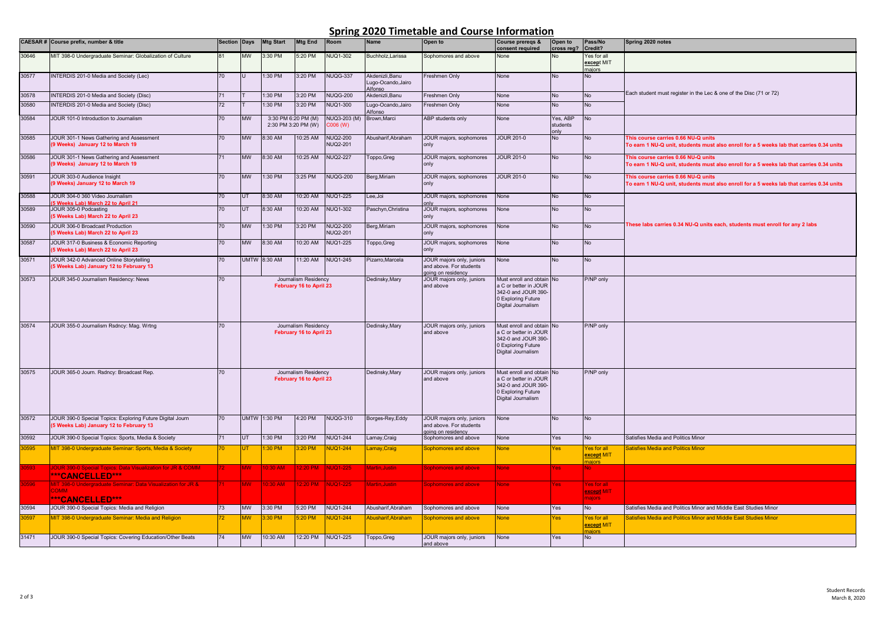## **Spring 2020 Timetable and Course Information**

|             | CAESAR # Course prefix, number & title                                            | <b>Section Days</b> |                                                 | <b>Mtg Start</b>    | <b>Mtg End</b>          | Room            | Name                                                     | Open to                                              | Course preregs &<br>consent required               | Open to<br>cross reg? | Pass/No<br>Credit?         | Spring 2020 notes                                                                        |
|-------------|-----------------------------------------------------------------------------------|---------------------|-------------------------------------------------|---------------------|-------------------------|-----------------|----------------------------------------------------------|------------------------------------------------------|----------------------------------------------------|-----------------------|----------------------------|------------------------------------------------------------------------------------------|
| 30646       | MIT 398-0 Undergraduate Seminar: Globalization of Culture                         |                     | <b>MW</b>                                       | 3:30 PM             | 5:20 PM                 | <b>NUQ1-302</b> | Buchholz, Larissa                                        | Sophomores and above                                 | None                                               | No                    | es for all                 |                                                                                          |
|             |                                                                                   |                     |                                                 |                     |                         |                 |                                                          |                                                      |                                                    |                       | except MIT                 |                                                                                          |
| 30577       | INTERDIS 201-0 Media and Society (Lec)                                            | 70                  |                                                 | 1:30 PM             | 3:20 PM                 | <b>NUQG-337</b> | Akdenizli.Banu                                           | Freshmen Only                                        | None                                               | No                    | majors<br>No.              |                                                                                          |
|             |                                                                                   |                     |                                                 |                     |                         |                 | Lugo-Ocando, Jairo                                       |                                                      |                                                    |                       |                            |                                                                                          |
| 30578       | INTERDIS 201-0 Media and Society (Disc)                                           | 71                  |                                                 | 1:30 PM             | 3:20 PM                 | <b>NUQG-200</b> | Alfonso<br>Akdenizli, Banu                               | Freshmen Only                                        | None                                               | No                    | <b>No</b>                  | Each student must register in the Lec & one of the Disc (71 or 72)                       |
| 30580       | <b>INTERDIS 201-0 Media and Society (Disc)</b>                                    | 72                  |                                                 | 1:30 PM             | 3:20 PM                 | NUQ1-300        | Lugo-Ocando, Jairo                                       | Freshmen Only                                        | None                                               | No                    | <b>No</b>                  |                                                                                          |
|             |                                                                                   |                     |                                                 |                     |                         |                 | <b>Alfonso</b>                                           |                                                      |                                                    |                       |                            |                                                                                          |
| 30584       | JOUR 101-0 Introduction to Journalism                                             | 70                  | <b>MW</b>                                       | 3:30 PM 6:20 PM (M) |                         | NUQ3-203 (M)    | Brown.Marci                                              | ABP students only                                    | None                                               | Yes, ABF              | <b>No</b>                  |                                                                                          |
|             |                                                                                   |                     | 2:30 PM 3:20 PM (W)                             |                     | $(W)$ 800               |                 |                                                          |                                                      | students<br>vlnc                                   |                       |                            |                                                                                          |
| 30585       | JOUR 301-1 News Gathering and Assessment                                          | 70                  | <b>MW</b>                                       | 8:30 AM             | 10:25 AM                | <b>NUQ2-200</b> | Abusharif, Abraham                                       | JOUR majors, sophomores                              | <b>JOUR 201-0</b>                                  | No                    | <b>No</b>                  | This course carries 0.66 NU-Q units                                                      |
|             | 9 Weeks) January 12 to March 19                                                   |                     |                                                 |                     |                         | <b>NUQ2-201</b> |                                                          | only                                                 |                                                    |                       |                            | To earn 1 NU-Q unit, students must also enroll for a 5 weeks lab that carries 0.34 units |
| 30586       | JOUR 301-1 News Gathering and Assessment                                          | 71                  | <b>MW</b>                                       | 8:30 AM             | 10:25 AM                | <b>NUQ2-227</b> | Toppo, Greg                                              | JOUR majors, sophomores                              | <b>JOUR 201-0</b>                                  | <b>No</b>             | <b>No</b>                  | This course carries 0.66 NU-Q units                                                      |
|             | 9 Weeks) January 12 to March 19                                                   |                     |                                                 |                     |                         |                 |                                                          | only                                                 |                                                    |                       |                            | To earn 1 NU-Q unit, students must also enroll for a 5 weeks lab that carries 0.34 units |
| 30591       | JOUR 303-0 Audience Insight                                                       | 70                  | <b>MW</b>                                       | 1:30 PM             | 3:25 PM                 | <b>NUQG-200</b> | Berg, Miriam                                             | JOUR majors, sophomores                              | <b>JOUR 201-0</b>                                  | No                    | No                         | This course carries 0.66 NU-Q units                                                      |
|             | 9 Weeks) January 12 to March 19                                                   |                     |                                                 |                     |                         |                 |                                                          | only                                                 |                                                    |                       |                            | To earn 1 NU-Q unit, students must also enroll for a 5 weeks lab that carries 0.34 units |
| 30588       | JOUR 304-0 360 Video Journalism                                                   | 70                  | UT                                              | 8:30 AM             | 10:20 AM                | <b>NUQ1-225</b> | Lee,Joi                                                  | JOUR majors, sophomores                              | None                                               | No                    | <b>No</b>                  |                                                                                          |
| 30589       | 5 Weeks Lab) March 22 to April 21<br>JOUR 305-0 Podcasting                        | 70                  | UT                                              | 8:30 AM             | 10:20 AM                | <b>NUQ1-302</b> | Paschyn, Christina                                       | <b>only</b><br>JOUR majors, sophomores               | None                                               | No                    | No                         |                                                                                          |
|             | 5 Weeks Lab) March 22 to April 23                                                 |                     |                                                 |                     |                         |                 |                                                          | only                                                 |                                                    |                       |                            |                                                                                          |
| 30590       | JOUR 306-0 Broadcast Production                                                   | 70                  | <b>MW</b>                                       | 1:30 PM             | 3:20 PM                 | <b>NUQ2-200</b> | Berg, Miriam                                             | JOUR majors, sophomores                              | None                                               | No                    | <b>No</b>                  | These labs carries 0.34 NU-Q units each, students must enroll for any 2 labs             |
|             | 5 Weeks Lab) March 22 to April 23                                                 |                     |                                                 |                     |                         | <b>NUQ2-201</b> |                                                          | only                                                 |                                                    |                       |                            |                                                                                          |
| 30587       | JOUR 317-0 Business & Economic Reporting                                          | 70                  | <b>MW</b>                                       | 8:30 AM             | 10:20 AM                | <b>NUQ1-225</b> | Toppo, Greg                                              | JOUR majors, sophomores                              | None                                               | No                    | No                         |                                                                                          |
|             | 5 Weeks Lab) March 22 to April 23                                                 |                     |                                                 |                     |                         |                 |                                                          | only                                                 |                                                    |                       |                            |                                                                                          |
| 30571       | JOUR 342-0 Advanced Online Storytelling<br>5 Weeks Lab) January 12 to February 13 | 70.                 | <b>UMTW</b>                                     | 8:30 AM             | 11:20 AM                | <b>NUQ1-245</b> | Pizarro, Marcela                                         | JOUR majors only, juniors<br>and above. For students | None                                               | No                    | <b>No</b>                  |                                                                                          |
|             |                                                                                   |                     |                                                 |                     |                         |                 |                                                          | going on residency                                   |                                                    |                       |                            |                                                                                          |
| 30573       | JOUR 345-0 Journalism Residency: News                                             | 70                  | Journalism Residency<br>February 16 to April 23 |                     |                         |                 | Dedinsky, Mary<br>JOUR majors only, juniors<br>and above | Must enroll and obtain<br>a C or better in JOUR      | No                                                 | P/NP only             |                            |                                                                                          |
|             |                                                                                   |                     |                                                 |                     |                         |                 |                                                          |                                                      | 342-0 and JOUR 390-                                |                       |                            |                                                                                          |
|             |                                                                                   |                     |                                                 |                     |                         |                 |                                                          |                                                      | 0 Exploring Future<br>Digital Journalism           |                       |                            |                                                                                          |
|             |                                                                                   |                     |                                                 |                     |                         |                 |                                                          |                                                      |                                                    |                       |                            |                                                                                          |
|             |                                                                                   |                     |                                                 |                     |                         |                 |                                                          |                                                      |                                                    |                       |                            |                                                                                          |
| 30574       | JOUR 355-0 Journalism Rsdncy: Mag. Wrtng                                          | 70                  | Journalism Residency<br>February 16 to April 23 |                     |                         |                 | Dedinsky, Mary                                           | JOUR majors only, juniors<br>and above               | Must enroll and obtain No<br>a C or better in JOUR |                       | P/NP only                  |                                                                                          |
|             |                                                                                   |                     |                                                 |                     |                         |                 | 342-0 and JOUR 390-                                      |                                                      |                                                    |                       |                            |                                                                                          |
|             |                                                                                   |                     |                                                 |                     |                         |                 |                                                          | 0 Exploring Future<br>Digital Journalism             |                                                    |                       |                            |                                                                                          |
|             |                                                                                   |                     |                                                 |                     |                         |                 |                                                          |                                                      |                                                    |                       |                            |                                                                                          |
| 30575       | JOUR 365-0 Journ. Rsdncy: Broadcast Rep                                           | 70                  | Journalism Residency                            |                     |                         |                 | Dedinsky, Mary                                           | JOUR majors only, juniors                            | Must enroll and obtain                             |                       | P/NP only                  |                                                                                          |
|             |                                                                                   |                     |                                                 |                     | February 16 to April 23 |                 |                                                          | and above                                            | a C or better in JOUR                              |                       |                            |                                                                                          |
|             |                                                                                   |                     |                                                 |                     |                         |                 |                                                          |                                                      | 342-0 and JOUR 390-                                |                       |                            |                                                                                          |
|             |                                                                                   |                     |                                                 |                     |                         |                 |                                                          |                                                      | 0 Exploring Future<br>Digital Journalism           |                       |                            |                                                                                          |
|             |                                                                                   |                     |                                                 |                     |                         |                 |                                                          |                                                      |                                                    |                       |                            |                                                                                          |
| 30572       | JOUR 390-0 Special Topics: Exploring Future Digital Journ                         | 70                  | <b>UMTW</b>                                     | 1:30 PM             | 4:20 PM                 | <b>NUQG-310</b> | Borges-Rey, Eddy                                         | JOUR majors only, juniors                            | None                                               | No                    | No                         |                                                                                          |
|             | 5 Weeks Lab) January 12 to February 13                                            |                     |                                                 |                     |                         |                 |                                                          | and above. For students                              |                                                    |                       |                            |                                                                                          |
| 30592       | JOUR 390-0 Special Topics: Sports, Media & Society                                |                     | UT                                              | 1:30 PM             | 3:20 PM                 | <b>NUQ1-244</b> | .amay, Craig                                             | going on residency<br>Sophomores and above           | None                                               | Yes                   | No                         | Satisfies Media and Politics Minor                                                       |
| 0595        | <b>MIT 398-0 Undergraduate Seminar: Sports, Media &amp; Society</b>               |                     |                                                 | :30 PM              | :20 PM                  | <b>IUQ1-244</b> | amay, Craig                                              | ophomores and above                                  | lone                                               | 'es                   | es for all                 | atisfies Media and Politics Minor                                                        |
|             |                                                                                   |                     |                                                 |                     |                         |                 |                                                          |                                                      |                                                    |                       | except MIT                 |                                                                                          |
| <b>593</b>  | JOUR 390-0 Special Topics: Data Visualization for JR & COMM                       |                     | MM                                              | $0:30$ AM           | $2.20$ PM               | <b>NUQ1-225</b> | Martin, Justin                                           | Sophomores and above                                 | Jone                                               | 'es                   | iaiors                     |                                                                                          |
|             | ***CANCELLED***                                                                   |                     |                                                 |                     |                         |                 |                                                          |                                                      |                                                    |                       |                            |                                                                                          |
| <b>0596</b> | <b>AIT 398-0 Undergraduate Seminar: Data Visualization for JR &amp;</b>           |                     | <b>MW</b>                                       | 0:30 AM             | 2:20 PM                 | <b>NUQ1-225</b> | Aartin, Justin                                           | Sophomores and above                                 | <b>Jone</b>                                        | 'es                   | es for all                 |                                                                                          |
|             | <b>COMM</b>                                                                       |                     |                                                 |                     |                         |                 |                                                          |                                                      |                                                    |                       | except MIT<br><b>ajors</b> |                                                                                          |
|             | ***CANCELLED***                                                                   |                     |                                                 |                     |                         | <b>NUQ1-244</b> |                                                          |                                                      |                                                    |                       |                            | Satisfies Media and Politics Minor and Middle East Studies Minor                         |
| 30594       | JOUR 390-0 Special Topics: Media and Religion                                     | 73                  | <b>MW</b>                                       | 3:30 PM             | 5:20 PM                 |                 | Abusharif, Abraham                                       | Sophomores and above                                 | None                                               | Yes                   | <b>No</b>                  |                                                                                          |
| 0597        | MIT 398-0 Undergraduate Seminar: Media and Religion                               |                     | <b>MW</b>                                       | 3:30 PM             | :20 PM                  | <b>NUQ1-244</b> | Abusharif, Abraham                                       | ophomores and above                                  | <b>None</b>                                        | es/                   | Yes for all<br>except MIT  | Satisfies Media and Politics Minor and Middle East Studies Minor                         |
|             |                                                                                   |                     |                                                 |                     |                         |                 |                                                          |                                                      |                                                    |                       |                            |                                                                                          |
| 31471       | JOUR 390-0 Special Topics: Covering Education/Other Beats                         | 74                  | <b>MW</b>                                       | 10:30 AM            | 12:20 PM                | <b>NUQ1-225</b> | Toppo, Greg                                              | JOUR majors only, juniors<br>and above               | None                                               | Yes                   | <b>No</b>                  |                                                                                          |